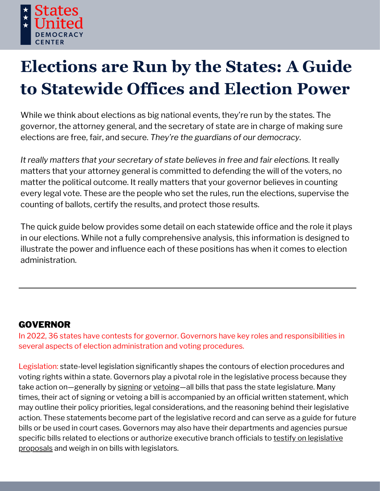

# **Elections are Run by the States: A Guide to Statewide Offices and Election Power**

While we think about elections as big national events, they're run by the states. The governor, the attorney general, and the secretary of state are in charge of making sure elections are free, fair, and secure. *They're the guardians of our democracy.*

*It really matters that your secretary of state believes in free and fair elections.* It really matters that your attorney general is committed to defending the will of the voters, no matter the political outcome. It really matters that your governor believes in counting every legal vote. These are the people who set the rules, run the elections, supervise the counting of ballots, certify the results, and protect those results.

The quick guide below provides some detail on each statewide office and the role it plays in our elections. While not a fully comprehensive analysis, this information is designed to illustrate the power and influence each of these positions has when it comes to election administration.

## GOVERNOR

In 2022, 36 states have contests for governor. Governors have key roles and responsibilities in several aspects of election administration and voting procedures.

Legislation: state-level legislation significantly shapes the contours of election procedures and voting rights within a state. Governors play a pivotal role in the legislative process because they take action on—generally by [signing](https://www.texastribune.org/2021/09/01/texas-voting-bill-greg-abbott/) or [vetoing](https://www.pbs.org/newshour/politics/wisconsin-governor-vetoes-gop-bills-to-restrict-absentees)—all bills that pass the state legislature. Many times, their act of signing or vetoing a bill is accompanied by an official written statement, which may outline their policy priorities, legal considerations, and the reasoning behind their legislative action. These statements become part of the legislative record and can serve as a guide for future bills or be used in court cases. Governors may also have their departments and agencies pursue specific bills related [to](https://www.maine.gov/sos/news/2022/electionworkersbill.html) elections or authorize executive branch officials to testify on legislative proposals and weigh in on bills with [legislators.](https://www.maine.gov/sos/news/2022/electionworkersbill.html)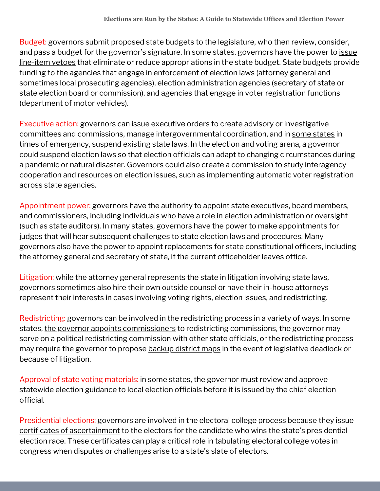Budget: governors submit proposed state budgets to the legislature, who then review, consider, and pass a budget for the governor's signature. In some states, governors have the power to issue line-item vetoes that eliminate or reduce [appropriations](https://apnews.com/article/pa-state-wire-business-bills-elections-government-and-politics-8400bdb8742fe7a04b3b469c7136b498) in the state budget. State budgets provide funding to the agencies that engage in enforcement of election laws (attorney general and sometimes local prosecuting agencies), election administration agencies (secretary of state or state election board or commission), and agencies that engage in voter registration functions (department of motor vehicles).

Executive action: governors can issue [executive](https://www.npr.org/2021/03/16/978009022/virginia-governor-clears-path-for-ex-convicts-to-regain-voting-rights) orders to create advisory or investigative committees and commissions, manage intergovernmental coordination, and in some [states](https://lawatlas.org/datasets/emergency-powers) in times of emergency, suspend existing state laws. In the election and voting arena, a governor could suspend election laws so that election officials can adapt to changing circumstances during a pandemic or natural disaster. Governors could also create a commission to study interagency cooperation and resources on election issues, such as implementing automatic voter registration across state agencies.

Appointment power: governors have the authority to appoint state [executives,](https://governor.hawaii.gov/newsroom/office-of-the-governor-news-release-governor-ige-appoints-holly-t-m-shikada-to-succeed-clare-connors-as-state-attorney-general/) board members, and commissioners, including individuals who have a role in election administration or oversight (such as state auditors). In many states, governors have the power to make appointments for judges that will hear subsequent challenges to state election laws and procedures. Many governors also have the power to appoint replacements for state constitutional officers, including the attorney general and [secretary](https://www.governor.pa.gov/newsroom/gov-wolf-names-leigh-m-chapman-new-acting-secretary-of-the-commonwealth/) of state, if the current officeholder leaves office.

Litigation: while the attorney general represents the state in litigation involving state laws, governors sometimes also hire their own outside [counsel](https://www.charlotteobserver.com/news/politics-government/article58758238.html) or have their in-house attorneys represent their interests in cases involving voting rights, election issues, and redistricting.

Redistricting: governors can be involved in the redistricting process in a variety of ways. In some states, the governor appoints [commissioners](https://governor.mo.gov/press-releases/archive/governor-parson-makes-appointments-house-and-senate-independent-bipartisan) to redistricting commissions, the governor may serve on a political redistricting commission with other state officials, or the redistricting process may require the governor to propose [backup](https://www.jacksonville.com/story/news/politics/state/2022/04/12/florida-legislative-leaders-defer-desantis-congressional-maps/7286892001/) district maps in the event of legislative deadlock or because of litigation.

Approval of state voting materials: in some states, the governor must review and approve statewide election guidance to local election officials before it is issued by the chief election official.

Presidential elections: governors are involved in the electoral college process because they issue certificates of [ascertainment](https://www.archives.gov/files/electoral-college/2020/ascertainment-michigan.pdf) to the electors for the candidate who wins the state's presidential election race. These certificates can play a critical role in tabulating electoral college votes in congress when disputes or challenges arise to a state's slate of electors.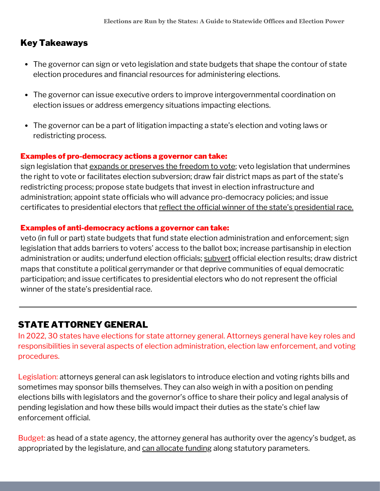## Key Takeaways

- The governor can sign or veto legislation and state budgets that shape the contour of state election procedures and financial resources for administering elections.
- The governor can issue executive orders to improve intergovernmental coordination on election issues or address emergency situations impacting elections.
- The governor can be a part of litigation impacting a state's election and voting laws or redistricting process.

#### Examples of pro-democracy actions a governor can take:

sign legislation that expands or [preserves](https://gov.nv.gov/News/Press/2021/Gov_signs_groundbreaking_legislation_expand_voting_access/) the freedom to vote; veto legislation that undermines the right to vote or facilitates election subversion; draw fair district maps as part of the state's redistricting process; propose state budgets that invest in election infrastructure and administration; appoint state officials who will advance pro-democracy policies; and issue certificates to [presidential](https://www.archives.gov/files/electoral-college/2020/vote-ohio.pdf) electors that reflect the official winner of the state's presidential race.

#### Examples of anti-democracy actions a governor can take:

veto (in full or part) state budgets that fund state election administration and enforcement; sign legislation that adds barriers to voters' access to the ballot box; increase partisanship in election administration or audits; underfund election officials; [subvert](https://statesuniteddemocracy.org/2022/05/19/dcitm-2022update/) official election results; draw district maps that constitute a political gerrymander or that deprive communities of equal democratic participation; and issue certificates to presidential electors who do not represent the official winner of the state's presidential race.

## STATE ATTORNEY GENERAL

In 2022, 30 states have elections for state attorney general. Attorneys general have key roles and responsibilities in several aspects of election administration, election law enforcement, and voting procedures.

Legislation: attorneys general can ask legislators to introduce election and voting rights bills and sometimes may sponsor bills themselves. They can also weigh in with a position on pending elections bills with legislators and the governor's office to share their policy and legal analysis of pending legislation and how these bills would impact their duties as the state's chief law enforcement official.

Budget: as head of a state agency, the attorney general has authority over the agency's budget, as appropriated by the legislature, and can [allocate](https://www.house.mi.gov/hfa/Archives/PDF/Briefings/GG_Atty_General_BudgetBriefing_fy20-21.pdf) funding along statutory parameters.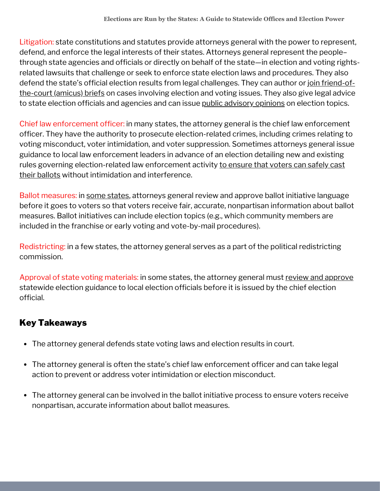Litigation: state constitutions and statutes provide attorneys general with the power to represent, defend, and enforce the legal interests of their states. Attorneys general represent the people– through state agencies and officials or directly on behalf of the state—in election and voting rightsrelated lawsuits that challenge or seek to enforce state election laws and procedures. They also defend the state's official election results from legal [challenges.](https://ago.mo.gov/home/news/2020/12/09/missouri-attorney-general-17-state-attorneys-general-file-amicus-brief-in-state-of-texas-supreme-court-voting-case) They can author or join friend-ofthe-court (amicus) briefs on cases involving election and voting issues. They also give legal advice to state election officials and agencies and can issue public [advisory](https://www.michigan.gov/ag/news/press-releases/2021/08/06/ag-nessel-opinion-office-of-auditor-general-does-not-have-authority-to-audit-county-clerks) opinions on election topics.

Chief law enforcement officer: in many states, the attorney general is the chief law enforcement officer. They have the authority to prosecute election-related crimes, including crimes relating to voting misconduct, voter intimidation, and voter suppression. Sometimes attorneys general issue guidance to local law enforcement leaders in advance of an election detailing new and existing rules governing [election-related](https://statesuniteddemocracy.org/2020/10/13/ags-actions-to-counter-intimidation/) law enforcement activity to ensure that voters can safely cast their ballots without intimidation and interference.

Ballot measures: in some [states](https://www.ohioattorneygeneral.gov/FAQ/Initiative-and-Referendum-FAQs#FAQ205), attorneys general review and approve ballot initiative language before it goes to voters so that voters receive fair, accurate, nonpartisan information about ballot measures. Ballot initiatives can include election topics (e.g., which community members are included in the franchise or early voting and vote-by-mail procedures).

Redistricting: in a few states, the attorney general serves as a part of the political redistricting commission.

Approval of state voting materials: in some states, the attorney general must review and [approve](https://tucson.com/news/state-and-regional/govt-and-politics/judge-arizona-ags-lawsuit-over-election-procedures-flawed/article_d8662d02-c808-11ec-afda-d38a4aed1789.html) statewide election guidance to local election officials before it is issued by the chief election official.

## Key Takeaways

- The attorney general defends state voting laws and election results in court.
- The attorney general is often the state's chief law enforcement officer and can take legal action to prevent or address voter intimidation or election misconduct.
- The attorney general can be involved in the ballot initiative process to ensure voters receive nonpartisan, accurate information about ballot measures.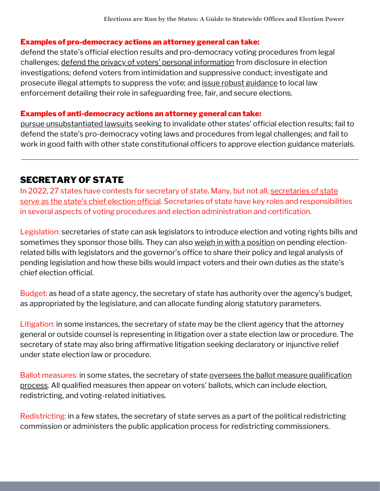#### Examples of pro-democracy actions an attorney general can take:

defend the state's official election results and pro-democracy voting procedures from legal challenges; defend the privacy of voters' personal [information](https://statesuniteddemocracy.org/2021/09/23/pa-lawsuit/) from disclosure in election investigations; defend voters from intimidation and suppressive conduct; investigate and prosecute illegal attempts to suppress the vote; and issue robust [guidance](https://www.njoag.gov/acting-attorney-general-platkin-issues-updated-guidance-on-law-enforcement-involvement-in-election-activities-and-protections-against-unlawful-voter-intimidation/) to local law enforcement detailing their role in safeguarding free, fair, and secure elections.

#### Examples of anti-democracy actions an attorney general can take:

pursue [unsubstantiated](https://www.texastribune.org/2020/12/11/texas-lawsuit-supreme-court-election-results/) lawsuits seeking to invalidate other states' official election results; fail to defend the state's pro-democracy voting laws and procedures from legal challenges; and fail to work in good faith with other state constitutional officers to approve election guidance materials.

## SECRETARY OF STATE

In 2022, 27 states have contests for secretary of state. Many, but not all, secretaries of state serve as the state's chief election official. [Secretaries](https://www.ncsl.org/research/elections-and-campaigns/election-administration-at-state-and-local-levels.aspx) of state have key roles and responsibilities in several aspects of voting procedures and election administration and certification.

Legislation: secretaries of state can ask legislators to introduce election and voting rights bills and sometimes they sponsor those bills. They can also weigh in with a [position](https://www.michigan.gov/sos/resources/press-releases/2021/05/19/secretary-benson-denounces-bills-based-on-the-big-lie) on pending electionrelated bills with legislators and the governor's office to share their policy and legal analysis of pending legislation and how these bills would impact voters and their own duties as the state's chief election official.

Budget: as head of a state agency, the secretary of state has authority over the agency's budget, as appropriated by the legislature, and can allocate funding along statutory parameters.

Litigation: in some instances, the secretary of state may be the client agency that the attorney general or outside counsel is representing in litigation over a state election law or procedure. The secretary of state may also bring affirmative litigation seeking declaratory or injunctive relief under state election law or procedure.

Ballot measures: in some states, the secretary of state oversees the ballot measure [qualification](https://www.sos.ca.gov/elections/ballot-measures/how-qualify-initiative) process. All qualified measures then appear on voters' ballots, which can include election, redistricting, and voting-related initiatives.

Redistricting: in a few states, the secretary of state serves as a part of the political redistricting commission or administers the public application process for redistricting commissioners.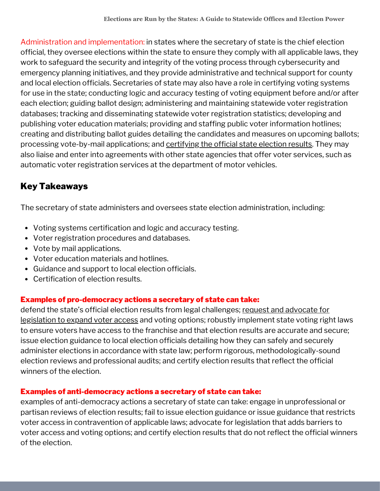Administration and implementation: in states where the secretary of state is the chief election official, they oversee elections within the state to ensure they comply with all applicable laws, they work to safeguard the security and integrity of the voting process through cybersecurity and emergency planning initiatives, and they provide administrative and technical support for county and local election officials. Secretaries of state may also have a role in [certifying](https://www.reuters.com/world/us/pennsylvania-decertifies-countys-voting-machines-after-2020-audit-2021-07-21/) voting systems for use in the state; conducting logic and accuracy testing of voting equipment before and/or after each election; guiding ballot design; administering and maintaining statewide voter registration databases; tracking and disseminating statewide voter registration statistics; developing and publishing voter education materials; providing and staffing public voter information hotlines; creating and distributing ballot guides detailing the candidates and measures on upcoming ballots; processing vote-by-mail applications; and [certifying](https://abcnews.go.com/Politics/georgia-secretary-state-certifies-election-results-making-biden/story?id=74315511) the official state election results. They may also liaise and enter into agreements with other state agencies that offer voter services, such as automatic voter registration services at the department of motor vehicles.

# Key Takeaways

The secretary of state administers and oversees state election administration, including:

- Voting systems certification and logic and accuracy testing.
- Voter registration procedures and databases.
- Vote by mail applications.
- Voter education materials and hotlines.
- Guidance and support to local election officials.
- Certification of election results.

## Examples of pro-democracy actions a secretary of state can take:

defend the state's official election results from legal [challenges;](https://www.reuters.com/world/us/vermont-kentucky-some-republicans-expand-voting-access-2021-2021-06-07/) request and advocate for legislation to expand voter access and voting options; robustly implement state voting right laws to ensure voters have access to the franchise and that election results are accurate and secure; issue election guidance to local election officials detailing how they can safely and securely administer elections in accordance with state law; perform rigorous, methodologically-sound election reviews and professional audits; and certify election results that reflect the official winners of the election.

## Examples of anti-democracy actions a secretary of state can take:

examples of [anti-democracy](https://www.texastribune.org/2021/12/31/secretary-state-texas-election-audit/) actions a secretary of state can take: engage in unprofessional or partisan reviews of election results; fail to issue election guidance or issue guidance that restricts voter access in contravention of applicable laws; advocate for legislation that adds barriers to voter access and voting options; and certify election results that do not reflect the official winners of the election.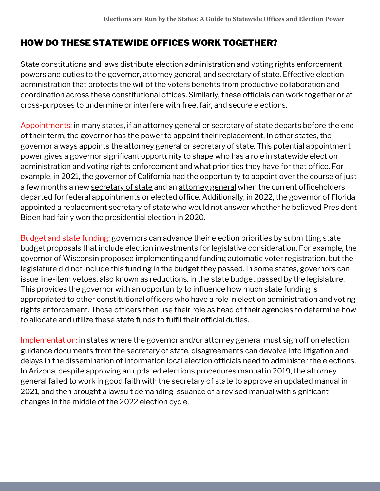# HOW DO THESE STATEWIDE OFFICES WORK TOGETHER?

State constitutions and laws distribute election administration and voting rights enforcement powers and duties to the governor, attorney general, and secretary of state. Effective election administration that protects the will of the voters benefits from productive collaboration and coordination across these constitutional offices. Similarly, these officials can work together or at cross-purposes to undermine or interfere with free, fair, and secure elections.

Appointments: in many states, if an attorney general or secretary of state departs before the end of their term, the governor has the power to appoint their replacement. In other states, the governor always appoints the attorney general or secretary of state. This potential appointment power gives a governor significant opportunity to shape who has a role in statewide election administration and voting rights enforcement and what priorities they have for that office. For example, in 2021, the governor of California had the opportunity to appoint over the course of just a few months a new [secretary](https://www.gov.ca.gov/2021/01/18/governor-newsom-formally-appoints-alex-padilla-to-the-u-s-senate-and-nominates-dr-shirley-weber-as-secretary-of-state/) of state and an [attorney](https://www.gov.ca.gov/2021/03/24/governor-newsom-to-submit-assemblymember-rob-bontas-nomination-for-attorney-general-to-the-state-legislature/) general when the current officeholders departed for federal appointments or elected office. Additionally, in 2022, the governor of Florida appointed a replacement secretary of state who would not answer whether he believed President Biden had fairly won the presidential election in 2020.

Budget and state funding: governors can advance their election priorities by submitting state budget proposals that include election investments for legislative consideration. For example, the governor of Wisconsin proposed [implementing](https://doa.wi.gov/budget/SBO/2021-23%20Executive%20Budget%20Complete%20Document.pdf) and funding automatic voter registration, but the legislature did not include this funding in the budget they passed. In some states, governors can issue line-item vetoes, also known as reductions, in the state budget passed by the legislature. This provides the governor with an opportunity to influence how much state funding is appropriated to other constitutional officers who have a role in election administration and voting rights enforcement. Those officers then use their role as head of their agencies to determine how to allocate and utilize these state funds to fulfil their official duties.

Implementation: in states where the governor and/or attorney general must sign off on election guidance documents from the secretary of state, disagreements can devolve into litigation and delays in the dissemination of information local election officials need to administer the elections. In Arizona, despite approving an updated elections procedures manual in 2019, the attorney general failed to work in good faith with the secretary of state to approve an updated manual in 2021, and then [brought](https://www.azcentral.com/story/news/politics/arizona/2022/04/29/mark-brnovich-katie-hobbs-face-off-court-elections-manual-dispute/9576333002/) a lawsuit demanding issuance of a revised manual with significant changes in the middle of the 2022 election cycle.